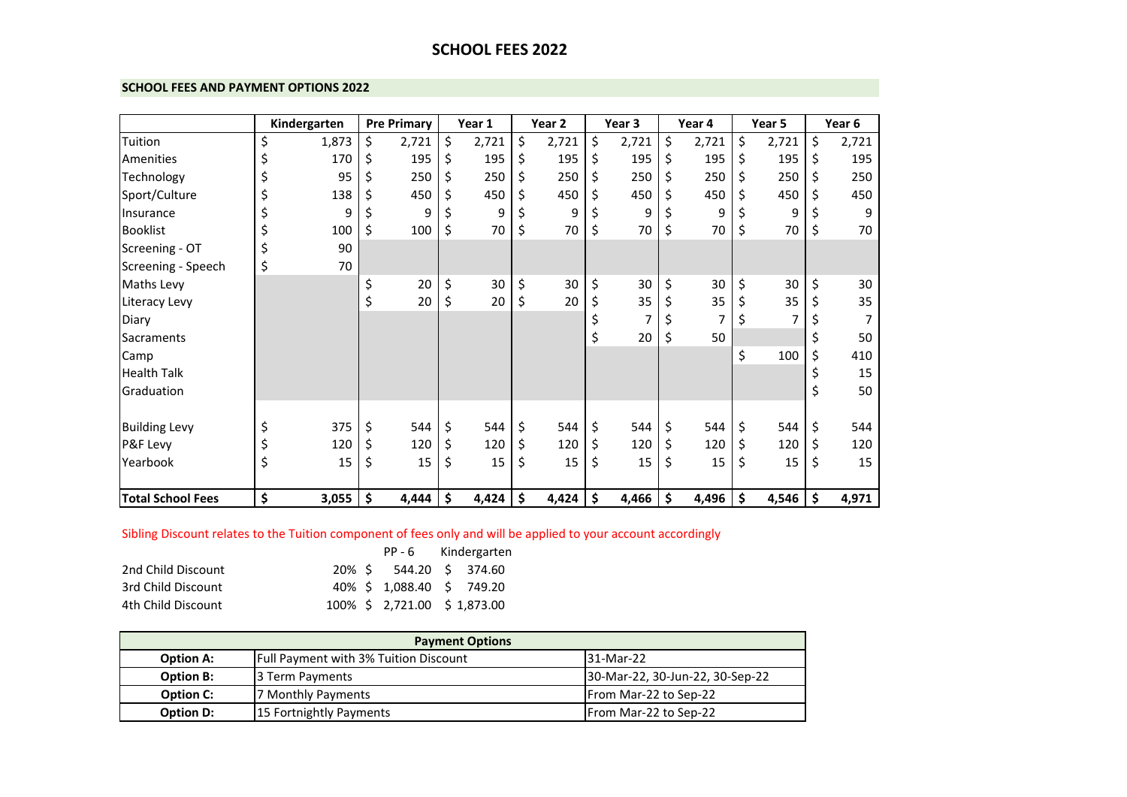# **SCHOOL FEES 2022**

### **SCHOOL FEES AND PAYMENT OPTIONS 2022**

|                          | Kindergarten |    | <b>Pre Primary</b> |    | Year 1 |    | Year 2 | Year 3      | Year 4      | Year 5      |     | Year 6 |
|--------------------------|--------------|----|--------------------|----|--------|----|--------|-------------|-------------|-------------|-----|--------|
| Tuition                  | \$<br>1,873  | \$ | 2,721              | \$ | 2,721  | \$ | 2,721  | \$<br>2,721 | \$<br>2,721 | \$<br>2,721 | \$  | 2,721  |
| Amenities                | \$<br>170    | Ś  | 195                | S  | 195    | \$ | 195    | \$<br>195   | \$<br>195   | \$<br>195   | \$. | 195    |
| Technology               | 95           |    | 250                |    | 250    | \$ | 250    | \$<br>250   | \$<br>250   | \$<br>250   |     | 250    |
| Sport/Culture            | \$<br>138    |    | 450                |    | 450    | Ś. | 450    | \$<br>450   | 450         | \$<br>450   |     | 450    |
| Insurance                | 9            |    | 9                  |    | 9      |    | 9      | \$<br>9     | 9           | \$<br>9     |     | 9      |
| <b>Booklist</b>          | 100          | \$ | 100                | \$ | 70     | \$ | 70     | \$<br>70    | \$<br>70    | \$<br>70    | \$  | 70     |
| Screening - OT           | \$<br>90     |    |                    |    |        |    |        |             |             |             |     |        |
| Screening - Speech       | \$<br>70     |    |                    |    |        |    |        |             |             |             |     |        |
| Maths Levy               |              | \$ | 20                 | \$ | 30     | \$ | 30     | \$<br>30    | \$<br>30    | \$<br>30    | \$  | 30     |
| Literacy Levy            |              | \$ | 20                 | \$ | 20     | \$ | 20     | \$<br>35    | \$<br>35    | \$<br>35    | \$  | 35     |
| Diary                    |              |    |                    |    |        |    |        |             |             | \$          |     |        |
| Sacraments               |              |    |                    |    |        |    |        | \$<br>20    | \$<br>50    |             |     | 50     |
| Camp                     |              |    |                    |    |        |    |        |             |             | \$<br>100   | \$  | 410    |
| <b>Health Talk</b>       |              |    |                    |    |        |    |        |             |             |             |     | 15     |
| Graduation               |              |    |                    |    |        |    |        |             |             |             | \$  | 50     |
|                          |              |    |                    |    |        |    |        |             |             |             |     |        |
| <b>Building Levy</b>     | \$<br>375    | \$ | 544                |    | 544    | \$ | 544    | \$<br>544   | \$<br>544   | \$<br>544   | \$  | 544    |
| P&F Levy                 | 120          | \$ | 120                |    | 120    | \$ | 120    | \$<br>120   | \$<br>120   | \$<br>120   | \$  | 120    |
| Yearbook                 | \$<br>15     | \$ | 15                 | \$ | 15     | \$ | 15     | \$<br>15    | \$<br>15    | \$<br>15    | \$  | 15     |
|                          |              |    |                    |    |        |    |        |             |             |             |     |        |
| <b>Total School Fees</b> | \$<br>3,055  | \$ | 4,444              | \$ | 4,424  | \$ | 4,424  | \$<br>4,466 | \$<br>4,496 | \$<br>4,546 | \$  | 4,971  |

## Sibling Discount relates to the Tuition component of fees only and will be applied to your account accordingly

|                    |  |                              | PP-6 Kindergarten |
|--------------------|--|------------------------------|-------------------|
| 2nd Child Discount |  | 20% \$ 544.20 \$ 374.60      |                   |
| 3rd Child Discount |  | 40% \$ 1,088.40 \$ 749.20    |                   |
| 4th Child Discount |  | 100% \$ 2,721.00 \$ 1,873.00 |                   |

| <b>Payment Options</b> |                                              |                                 |  |  |  |  |
|------------------------|----------------------------------------------|---------------------------------|--|--|--|--|
| <b>Option A:</b>       | <b>Full Payment with 3% Tuition Discount</b> | 31-Mar-22                       |  |  |  |  |
| <b>Option B:</b>       | 3 Term Payments                              | 30-Mar-22, 30-Jun-22, 30-Sep-22 |  |  |  |  |
| <b>Option C:</b>       | 7 Monthly Payments                           | <b>IFrom Mar-22 to Sep-22</b>   |  |  |  |  |
| <b>Option D:</b>       | 15 Fortnightly Payments                      | From Mar-22 to Sep-22           |  |  |  |  |